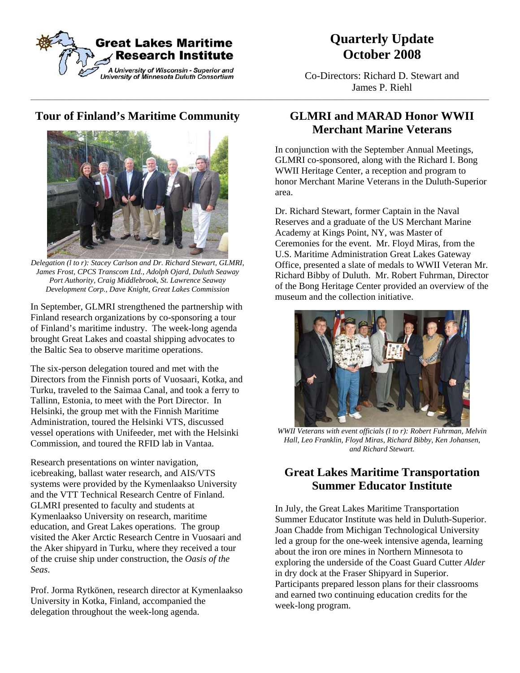

# **Quarterly Update October 2008**

Co-Directors: Richard D. Stewart and  $James \ P. \ Richl$ 

## **Tour of Finland's Maritime Community**



 *Delegation (l to r): Stacey Carlson and Dr. Richard Stewart, GLMRI, James Frost, CPCS Transcom Ltd., Adolph Ojard, Duluth Seaway Port Authority, Craig Middlebrook, St. Lawrence Seaway Development Corp., Dave Knight, Great Lakes Commission* 

In September, GLMRI strengthened the partnership with Finland research organizations by co-sponsoring a tour of Finland's maritime industry. The week-long agenda brought Great Lakes and coastal shipping advocates to the Baltic Sea to observe maritime operations.

The six-person delegation toured and met with the Directors from the Finnish ports of Vuosaari, Kotka, and Turku, traveled to the Saimaa Canal, and took a ferry to Tallinn, Estonia, to meet with the Port Director. In Helsinki, the group met with the Finnish Maritime Administration, toured the Helsinki VTS, discussed vessel operations with Unifeeder, met with the Helsinki Commission, and toured the RFID lab in Vantaa.

Research presentations on winter navigation, icebreaking, ballast water research, and AIS/VTS systems were provided by the Kymenlaakso University and the VTT Technical Research Centre of Finland. GLMRI presented to faculty and students at Kymenlaakso University on research, maritime education, and Great Lakes operations. The group visited the Aker Arctic Research Centre in Vuosaari and the Aker shipyard in Turku, where they received a tour of the cruise ship under construction, the *Oasis of the Seas*.

Prof. Jorma Rytkönen, research director at Kymenlaakso University in Kotka, Finland, accompanied the delegation throughout the week-long agenda.

### **GLMRI and MARAD Honor WWII Merchant Marine Veterans**

In conjunction with the September Annual Meetings, GLMRI co-sponsored, along with the Richard I. Bong WWII Heritage Center, a reception and program to honor Merchant Marine Veterans in the Duluth-Superior area.

Dr. Richard Stewart, former Captain in the Naval Reserves and a graduate of the US Merchant Marine Academy at Kings Point, NY, was Master of Ceremonies for the event. Mr. Floyd Miras, from the U.S. Maritime Administration Great Lakes Gateway Office, presented a slate of medals to WWII Veteran Mr. Richard Bibby of Duluth. Mr. Robert Fuhrman, Director of the Bong Heritage Center provided an overview of the museum and the collection initiative.



*WWII Veterans with event officials (l to r): Robert Fuhrman, Melvin Hall, Leo Franklin, Floyd Miras, Richard Bibby, Ken Johansen, and Richard Stewart.* 

### **Great Lakes Maritime Transportation Summer Educator Institute**

In July, the Great Lakes Maritime Transportation Summer Educator Institute was held in Duluth-Superior. Joan Chadde from Michigan Technological University led a group for the one-week intensive agenda, learning about the iron ore mines in Northern Minnesota to exploring the underside of the Coast Guard Cutter *Alder* in dry dock at the Fraser Shipyard in Superior. Participants prepared lesson plans for their classrooms and earned two continuing education credits for the week-long program.